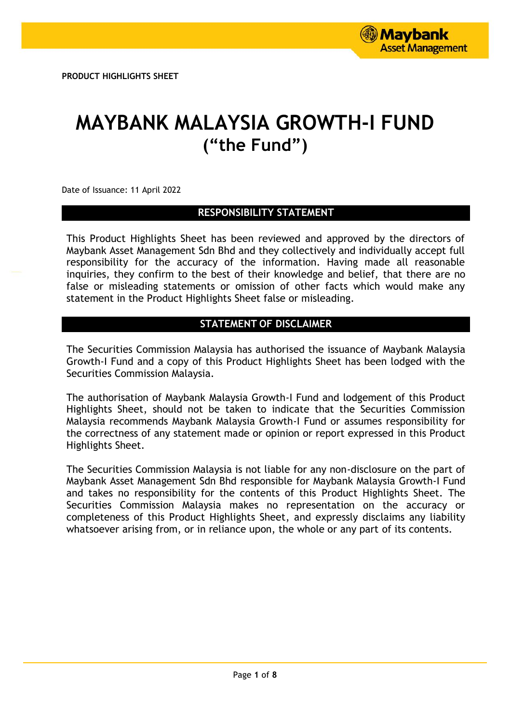# **MAYBANK MALAYSIA GROWTH-I FUND ("the Fund")**

Date of Issuance: 11 April 2022

# **RESPONSIBILITY STATEMENT**

This Product Highlights Sheet has been reviewed and approved by the directors of Maybank Asset Management Sdn Bhd and they collectively and individually accept full responsibility for the accuracy of the information. Having made all reasonable inquiries, they confirm to the best of their knowledge and belief, that there are no false or misleading statements or omission of other facts which would make any statement in the Product Highlights Sheet false or misleading.

# **STATEMENT OF DISCLAIMER**

The Securities Commission Malaysia has authorised the issuance of Maybank Malaysia Growth-I Fund and a copy of this Product Highlights Sheet has been lodged with the Securities Commission Malaysia.

The authorisation of Maybank Malaysia Growth-I Fund and lodgement of this Product Highlights Sheet, should not be taken to indicate that the Securities Commission Malaysia recommends Maybank Malaysia Growth-I Fund or assumes responsibility for the correctness of any statement made or opinion or report expressed in this Product Highlights Sheet.

The Securities Commission Malaysia is not liable for any non-disclosure on the part of Maybank Asset Management Sdn Bhd responsible for Maybank Malaysia Growth-I Fund and takes no responsibility for the contents of this Product Highlights Sheet. The Securities Commission Malaysia makes no representation on the accuracy or completeness of this Product Highlights Sheet, and expressly disclaims any liability whatsoever arising from, or in reliance upon, the whole or any part of its contents.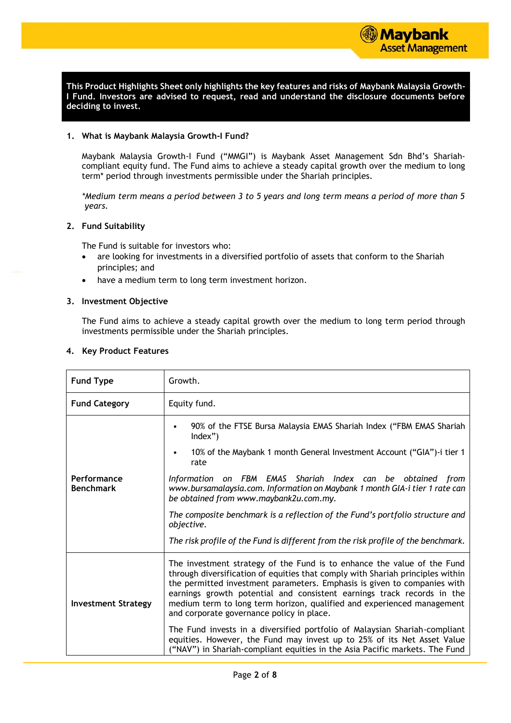

**This Product Highlights Sheet only highlights the key features and risks of Maybank Malaysia Growth-I Fund. Investors are advised to request, read and understand the disclosure documents before deciding to invest.**

#### **1. What is Maybank Malaysia Growth-I Fund?**

Maybank Malaysia Growth-I Fund ("MMGI") is Maybank Asset Management Sdn Bhd's Shariahcompliant equity fund. The Fund aims to achieve a steady capital growth over the medium to long term\* period through investments permissible under the Shariah principles.

*\*Medium term means a period between 3 to 5 years and long term means a period of more than 5 years.*

#### **2. Fund Suitability**

The Fund is suitable for investors who:

- are looking for investments in a diversified portfolio of assets that conform to the Shariah principles; and
- have a medium term to long term investment horizon.

#### **3. Investment Objective**

The Fund aims to achieve a steady capital growth over the medium to long term period through investments permissible under the Shariah principles.

#### **4. Key Product Features**

| <b>Fund Type</b>                | Growth.                                                                                                                                                                                                                                                                                                                                                                                                                                |  |  |  |  |
|---------------------------------|----------------------------------------------------------------------------------------------------------------------------------------------------------------------------------------------------------------------------------------------------------------------------------------------------------------------------------------------------------------------------------------------------------------------------------------|--|--|--|--|
| <b>Fund Category</b>            | Equity fund.                                                                                                                                                                                                                                                                                                                                                                                                                           |  |  |  |  |
|                                 | 90% of the FTSE Bursa Malaysia EMAS Shariah Index ("FBM EMAS Shariah<br>$Index$ ")                                                                                                                                                                                                                                                                                                                                                     |  |  |  |  |
|                                 | 10% of the Maybank 1 month General Investment Account ("GIA")-i tier 1<br>$\bullet$<br>rate                                                                                                                                                                                                                                                                                                                                            |  |  |  |  |
| Performance<br><b>Benchmark</b> | Information on FBM EMAS Shariah Index can be obtained from<br>www.bursamalaysia.com. Information on Maybank 1 month GIA-i tier 1 rate can<br>be obtained from www.maybank2u.com.my.                                                                                                                                                                                                                                                    |  |  |  |  |
|                                 | The composite benchmark is a reflection of the Fund's portfolio structure and<br>objective.                                                                                                                                                                                                                                                                                                                                            |  |  |  |  |
|                                 | The risk profile of the Fund is different from the risk profile of the benchmark.                                                                                                                                                                                                                                                                                                                                                      |  |  |  |  |
| <b>Investment Strategy</b>      | The investment strategy of the Fund is to enhance the value of the Fund<br>through diversification of equities that comply with Shariah principles within<br>the permitted investment parameters. Emphasis is given to companies with<br>earnings growth potential and consistent earnings track records in the<br>medium term to long term horizon, qualified and experienced management<br>and corporate governance policy in place. |  |  |  |  |
|                                 | The Fund invests in a diversified portfolio of Malaysian Shariah-compliant<br>equities. However, the Fund may invest up to 25% of its Net Asset Value<br>("NAV") in Shariah-compliant equities in the Asia Pacific markets. The Fund                                                                                                                                                                                                   |  |  |  |  |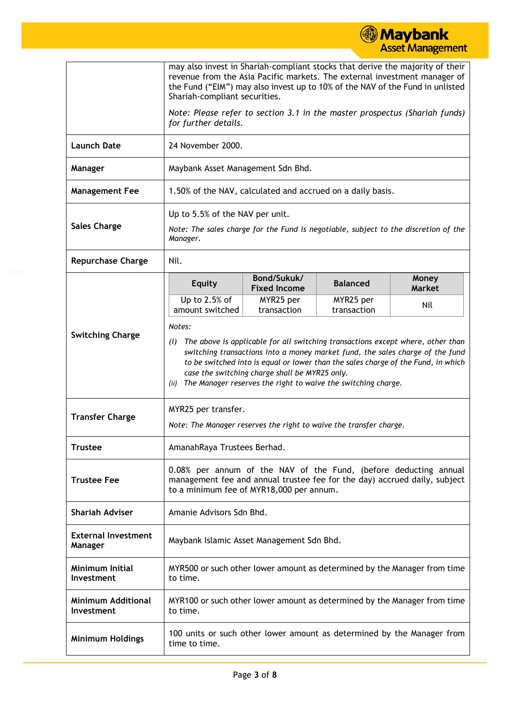|                                                |                                                                                                                                                                                                                                                                                                                                                                                                   |                                                                                                    |                                                            | <b>ASSEL Management</b> |  |  |
|------------------------------------------------|---------------------------------------------------------------------------------------------------------------------------------------------------------------------------------------------------------------------------------------------------------------------------------------------------------------------------------------------------------------------------------------------------|----------------------------------------------------------------------------------------------------|------------------------------------------------------------|-------------------------|--|--|
|                                                | may also invest in Shariah-compliant stocks that derive the majority of their<br>revenue from the Asia Pacific markets. The external investment manager of<br>the Fund ("EIM") may also invest up to 10% of the NAV of the Fund in unlisted<br>Shariah-compliant securities.                                                                                                                      |                                                                                                    |                                                            |                         |  |  |
|                                                |                                                                                                                                                                                                                                                                                                                                                                                                   | Note: Please refer to section 3.1 in the master prospectus (Shariah funds)<br>for further details. |                                                            |                         |  |  |
| <b>Launch Date</b>                             | 24 November 2000.                                                                                                                                                                                                                                                                                                                                                                                 |                                                                                                    |                                                            |                         |  |  |
| Manager                                        | Maybank Asset Management Sdn Bhd.                                                                                                                                                                                                                                                                                                                                                                 |                                                                                                    |                                                            |                         |  |  |
| <b>Management Fee</b>                          |                                                                                                                                                                                                                                                                                                                                                                                                   |                                                                                                    | 1.50% of the NAV, calculated and accrued on a daily basis. |                         |  |  |
| <b>Sales Charge</b>                            | Up to 5.5% of the NAV per unit.<br>Note: The sales charge for the Fund is negotiable, subject to the discretion of the<br>Manager.                                                                                                                                                                                                                                                                |                                                                                                    |                                                            |                         |  |  |
| <b>Repurchase Charge</b>                       | Nil.                                                                                                                                                                                                                                                                                                                                                                                              |                                                                                                    |                                                            |                         |  |  |
|                                                | <b>Equity</b>                                                                                                                                                                                                                                                                                                                                                                                     | Bond/Sukuk/<br><b>Fixed Income</b>                                                                 | <b>Balanced</b>                                            | Money<br><b>Market</b>  |  |  |
|                                                | Up to 2.5% of<br>amount switched                                                                                                                                                                                                                                                                                                                                                                  | MYR25 per<br>transaction                                                                           | MYR25 per<br>transaction                                   | Nil                     |  |  |
| <b>Switching Charge</b>                        | Notes:<br>The above is applicable for all switching transactions except where, other than<br>(i)<br>switching transactions into a money market fund, the sales charge of the fund<br>to be switched into is equal or lower than the sales charge of the Fund, in which<br>case the switching charge shall be MYR25 only.<br>The Manager reserves the right to waive the switching charge.<br>(ii) |                                                                                                    |                                                            |                         |  |  |
| <b>Transfer Charge</b>                         |                                                                                                                                                                                                                                                                                                                                                                                                   | MYR25 per transfer.<br>Note: The Manager reserves the right to waive the transfer charge.          |                                                            |                         |  |  |
| <b>Trustee</b>                                 |                                                                                                                                                                                                                                                                                                                                                                                                   | AmanahRaya Trustees Berhad.                                                                        |                                                            |                         |  |  |
| <b>Trustee Fee</b>                             | 0.08% per annum of the NAV of the Fund, (before deducting annual<br>management fee and annual trustee fee for the day) accrued daily, subject<br>to a minimum fee of MYR18,000 per annum.                                                                                                                                                                                                         |                                                                                                    |                                                            |                         |  |  |
| <b>Shariah Adviser</b>                         | Amanie Advisors Sdn Bhd.                                                                                                                                                                                                                                                                                                                                                                          |                                                                                                    |                                                            |                         |  |  |
| <b>External Investment</b><br>Manager          | Maybank Islamic Asset Management Sdn Bhd.                                                                                                                                                                                                                                                                                                                                                         |                                                                                                    |                                                            |                         |  |  |
| <b>Minimum Initial</b><br>Investment           | MYR500 or such other lower amount as determined by the Manager from time<br>to time.                                                                                                                                                                                                                                                                                                              |                                                                                                    |                                                            |                         |  |  |
| <b>Minimum Additional</b><br><b>Investment</b> | to time.                                                                                                                                                                                                                                                                                                                                                                                          | MYR100 or such other lower amount as determined by the Manager from time                           |                                                            |                         |  |  |
| <b>Minimum Holdings</b>                        | 100 units or such other lower amount as determined by the Manager from<br>time to time.                                                                                                                                                                                                                                                                                                           |                                                                                                    |                                                            |                         |  |  |

**Maybank**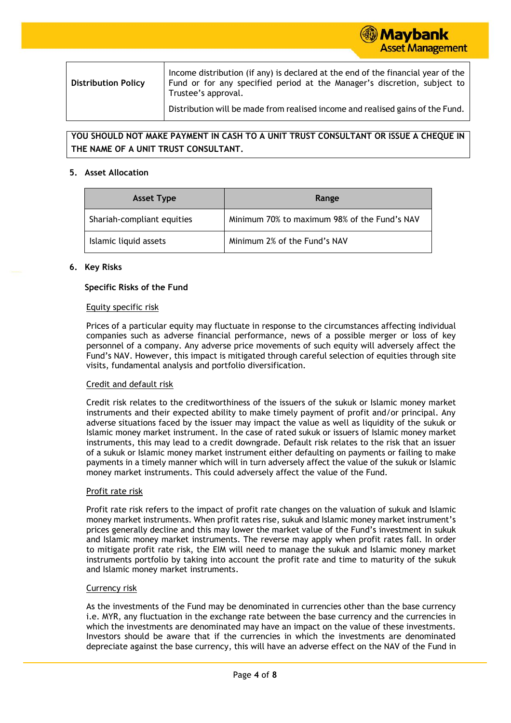

**YOU SHOULD NOT MAKE PAYMENT IN CASH TO A UNIT TRUST CONSULTANT OR ISSUE A CHEQUE IN THE NAME OF A UNIT TRUST CONSULTANT.**

#### **5. Asset Allocation**

| <b>Asset Type</b>          | Range                                        |
|----------------------------|----------------------------------------------|
| Shariah-compliant equities | Minimum 70% to maximum 98% of the Fund's NAV |
| Islamic liquid assets      | Minimum 2% of the Fund's NAV                 |

#### **6. Key Risks**

#### **Specific Risks of the Fund**

#### Equity specific risk

Prices of a particular equity may fluctuate in response to the circumstances affecting individual companies such as adverse financial performance, news of a possible merger or loss of key personnel of a company. Any adverse price movements of such equity will adversely affect the Fund's NAV. However, this impact is mitigated through careful selection of equities through site visits, fundamental analysis and portfolio diversification.

#### Credit and default risk

Credit risk relates to the creditworthiness of the issuers of the sukuk or Islamic money market instruments and their expected ability to make timely payment of profit and/or principal. Any adverse situations faced by the issuer may impact the value as well as liquidity of the sukuk or Islamic money market instrument. In the case of rated sukuk or issuers of Islamic money market instruments, this may lead to a credit downgrade. Default risk relates to the risk that an issuer of a sukuk or Islamic money market instrument either defaulting on payments or failing to make payments in a timely manner which will in turn adversely affect the value of the sukuk or Islamic money market instruments. This could adversely affect the value of the Fund.

#### Profit rate risk

Profit rate risk refers to the impact of profit rate changes on the valuation of sukuk and Islamic money market instruments. When profit rates rise, sukuk and Islamic money market instrument's prices generally decline and this may lower the market value of the Fund's investment in sukuk and Islamic money market instruments. The reverse may apply when profit rates fall. In order to mitigate profit rate risk, the EIM will need to manage the sukuk and Islamic money market instruments portfolio by taking into account the profit rate and time to maturity of the sukuk and Islamic money market instruments.

#### Currency risk

As the investments of the Fund may be denominated in currencies other than the base currency i.e. MYR, any fluctuation in the exchange rate between the base currency and the currencies in which the investments are denominated may have an impact on the value of these investments. Investors should be aware that if the currencies in which the investments are denominated depreciate against the base currency, this will have an adverse effect on the NAV of the Fund in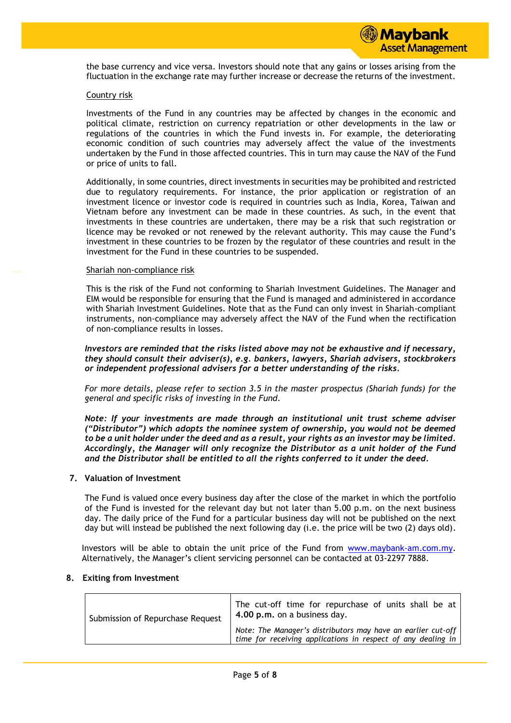the base currency and vice versa. Investors should note that any gains or losses arising from the fluctuation in the exchange rate may further increase or decrease the returns of the investment.

#### Country risk

Investments of the Fund in any countries may be affected by changes in the economic and political climate, restriction on currency repatriation or other developments in the law or regulations of the countries in which the Fund invests in. For example, the deteriorating economic condition of such countries may adversely affect the value of the investments undertaken by the Fund in those affected countries. This in turn may cause the NAV of the Fund or price of units to fall.

Additionally, in some countries, direct investments in securities may be prohibited and restricted due to regulatory requirements. For instance, the prior application or registration of an investment licence or investor code is required in countries such as India, Korea, Taiwan and Vietnam before any investment can be made in these countries. As such, in the event that investments in these countries are undertaken, there may be a risk that such registration or licence may be revoked or not renewed by the relevant authority. This may cause the Fund's investment in these countries to be frozen by the regulator of these countries and result in the investment for the Fund in these countries to be suspended.

#### Shariah non-compliance risk

This is the risk of the Fund not conforming to Shariah Investment Guidelines. The Manager and EIM would be responsible for ensuring that the Fund is managed and administered in accordance with Shariah Investment Guidelines. Note that as the Fund can only invest in Shariah-compliant instruments, non-compliance may adversely affect the NAV of the Fund when the rectification of non-compliance results in losses.

*Investors are reminded that the risks listed above may not be exhaustive and if necessary, they should consult their adviser(s), e.g. bankers, lawyers, Shariah advisers, stockbrokers or independent professional advisers for a better understanding of the risks.*

*For more details, please refer to section 3.5 in the master prospectus (Shariah funds) for the general and specific risks of investing in the Fund.*

*Note: If your investments are made through an institutional unit trust scheme adviser ("Distributor") which adopts the nominee system of ownership, you would not be deemed to be a unit holder under the deed and as a result, your rights as an investor may be limited. Accordingly, the Manager will only recognize the Distributor as a unit holder of the Fund and the Distributor shall be entitled to all the rights conferred to it under the deed.*

#### **7. Valuation of Investment**

The Fund is valued once every business day after the close of the market in which the portfolio of the Fund is invested for the relevant day but not later than 5.00 p.m. on the next business day. The daily price of the Fund for a particular business day will not be published on the next day but will instead be published the next following day (i.e. the price will be two (2) days old).

Investors will be able to obtain the unit price of the Fund from [www.maybank-am.com.](http://www.maybank-am.com/)my. Alternatively, the Manager's client servicing personnel can be contacted at 03-2297 7888.

#### **8. Exiting from Investment**

| Submission of Repurchase Request | The cut-off time for repurchase of units shall be at<br>4.00 p.m. on a business day.                                         |  |  |  |  |
|----------------------------------|------------------------------------------------------------------------------------------------------------------------------|--|--|--|--|
|                                  | Note: The Manager's distributors may have an earlier cut-off<br>time for receiving applications in respect of any dealing in |  |  |  |  |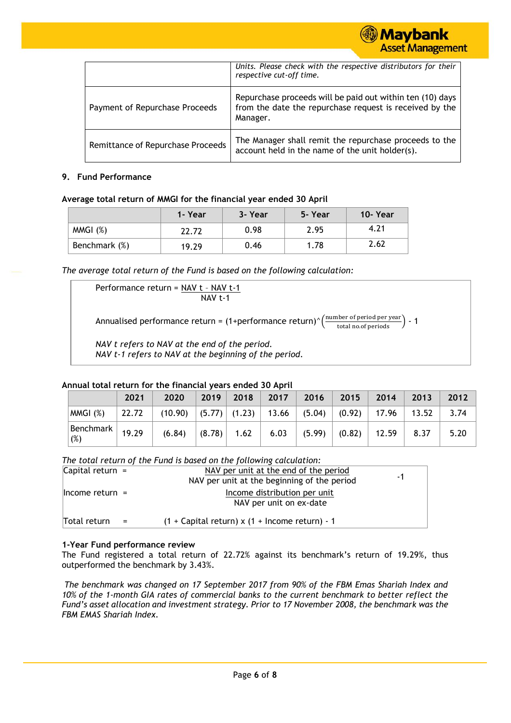

|                                   | Units. Please check with the respective distributors for their<br>respective cut-off time.                                       |
|-----------------------------------|----------------------------------------------------------------------------------------------------------------------------------|
| Payment of Repurchase Proceeds    | Repurchase proceeds will be paid out within ten (10) days<br>from the date the repurchase request is received by the<br>Manager. |
| Remittance of Repurchase Proceeds | The Manager shall remit the repurchase proceeds to the<br>account held in the name of the unit holder(s).                        |

#### **9. Fund Performance**

#### **Average total return of MMGI for the financial year ended 30 April**

|               | 1- Year | 3- Year | 5-Year | 10-Year |
|---------------|---------|---------|--------|---------|
| MMGI(%)       | 22.72   | 0.98    | 2.95   | 4.21    |
| Benchmark (%) | 19.29   | 0.46    | 1.78   | 2.62    |

*The average total return of the Fund is based on the following calculation:*

Performance return = NAV t – NAV t-1 NAV t-1 Annualised performance return = (1+performance return)^ $\left(\frac{\text{number of period per year}}{\text{total no. of periods}}\right)$  - 1 *NAV t refers to NAV at the end of the period. NAV t-1 refers to NAV at the beginning of the period.*

#### **Annual total return for the financial years ended 30 April**

|                    | 2021  | 2020    | 2019   | 2018 | 2017                          | 2016   | 2015   | 2014  | 2013  | 2012 |
|--------------------|-------|---------|--------|------|-------------------------------|--------|--------|-------|-------|------|
| MMGI (%)           | 22.72 | (10.90) |        |      | (5.77) (1.23)  13.66   (5.04) |        | (0.92) | 17.96 | 13.52 | 3.74 |
| Benchmark  <br>(%) | 19.29 | (6.84)  | (8.78) | 1.62 | 6.03                          | (5.99) | (0.82) | 12.59 | 8.37  | 5.20 |

*The total return of the Fund is based on the following calculation:*

| Capital return $=$  |     | NAV per unit at the end of the period<br>NAV per unit at the beginning of the period | -1 |
|---------------------|-----|--------------------------------------------------------------------------------------|----|
| $l$ Income return = |     | Income distribution per unit<br>NAV per unit on ex-date                              |    |
| Total return        | $=$ | $(1 +$ Capital return) x $(1 +$ Income return) - 1                                   |    |

# **1-Year Fund performance review**

The Fund registered a total return of 22.72% against its benchmark's return of 19.29%, thus outperformed the benchmark by 3.43%.

*The benchmark was changed on 17 September 2017 from 90% of the FBM Emas Shariah Index and 10% of the 1-month GIA rates of commercial banks to the current benchmark to better reflect the Fund's asset allocation and investment strategy. Prior to 17 November 2008, the benchmark was the FBM EMAS Shariah Index.*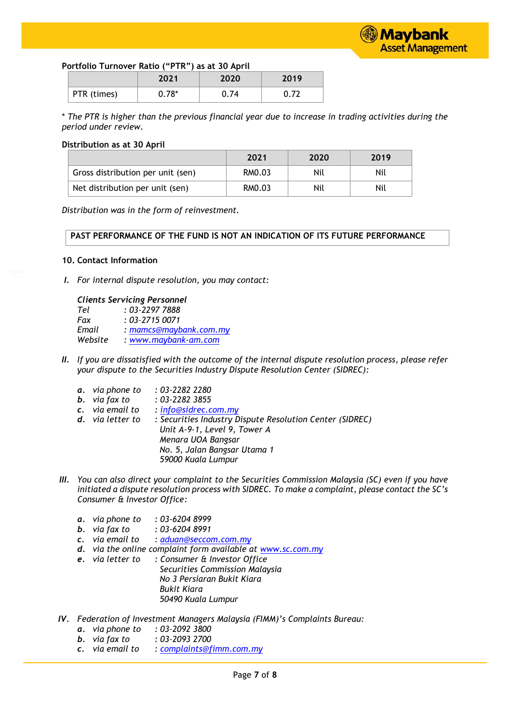# **Portfolio Turnover Ratio ("PTR") as at 30 April**

|             | 2021    | 2020 | 2019 |
|-------------|---------|------|------|
| PTR (times) | $0.78*$ | .74  |      |

\* *The PTR is higher than the previous financial year due to increase in trading activities during the period under review.*

### **Distribution as at 30 April**

|                                   | 2021   | 2020 | 2019 |
|-----------------------------------|--------|------|------|
| Gross distribution per unit (sen) | RM0.03 | Nil  | Nil  |
| Net distribution per unit (sen)   | RM0.03 | Nil  | Nil  |

*Distribution was in the form of reinvestment.*

#### **PAST PERFORMANCE OF THE FUND IS NOT AN INDICATION OF ITS FUTURE PERFORMANCE**

#### **10. Contact Information**

*I. For internal dispute resolution, you may contact:*

# *Clients Servicing Personnel*

*Tel : 03-2297 7888 Fax : 03–2715 0071 Email : mamcs@maybank.com.my Website : [www.maybank-am.com](http://www.maybank-am.com/)*

- *II. If you are dissatisfied with the outcome of the internal dispute resolution process, please refer your dispute to the Securities Industry Dispute Resolution Center (SIDREC):*
	- *a. via phone to : 03-2282 2280*
	- *b. via fax to : 03-2282 3855*
	- *c. via email to : [info@sidrec.com.my](mailto:info@sidrec.com.my)*
	- *d. via letter to : Securities Industry Dispute Resolution Center (SIDREC) Unit A-9-1, Level 9, Tower A Menara UOA Bangsar No. 5, Jalan Bangsar Utama 1 59000 Kuala Lumpur*
- *III. You can also direct your complaint to the Securities Commission Malaysia (SC) even if you have initiated a dispute resolution process with SIDREC. To make a complaint, please contact the SC's Consumer & Investor Office:*
	- *a. via phone to : 03-6204 8999*
	- *b. via fax to : 03-6204 8991*
	- *c. via email to : [aduan@seccom.com.my](mailto:aduan@seccom.com.my)*
	- *d. via the online complaint form available at [www.sc.com.my](http://www.sc.com.my/)*
	- *e. via letter to : Consumer & Investor Office Securities Commission Malaysia No 3 Persiaran Bukit Kiara Bukit Kiara 50490 Kuala Lumpur*
- *IV. Federation of Investment Managers Malaysia (FIMM)'s Complaints Bureau:*
	- *a. via phone to : 03–2092 3800*
	- *b. via fax to : 03–2093 2700*
	- *c. via email to : [complaints@fimm.com.my](mailto:complaints@fimm.com.my)*